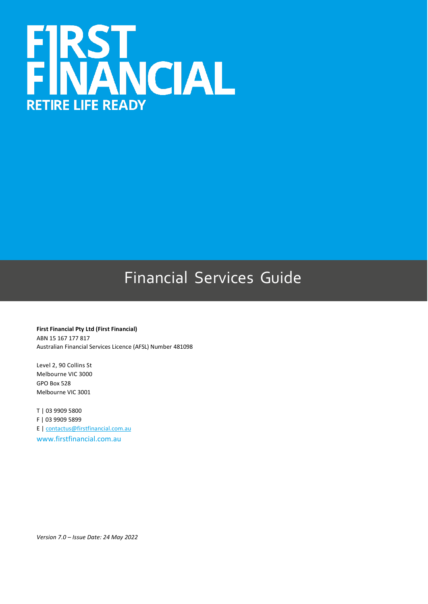

# Financial Services Guide

**First Financial Pty Ltd (First Financial)** ABN 15 167 177 817 Australian Financial Services Licence (AFSL) Number 481098

Level 2, 90 Collins St Melbourne VIC 3000 GPO Box 528 Melbourne VIC 3001

T | 03 9909 5800 F | 03 9909 5899 E | [contactus@firstfinancial.com.au](mailto:contactus@firstfinancial.com.au) [www.firstfinancial.com.au](http://www.firstfinancial.com.au/)

*Version 7.0 – Issue Date: 24 May 2022*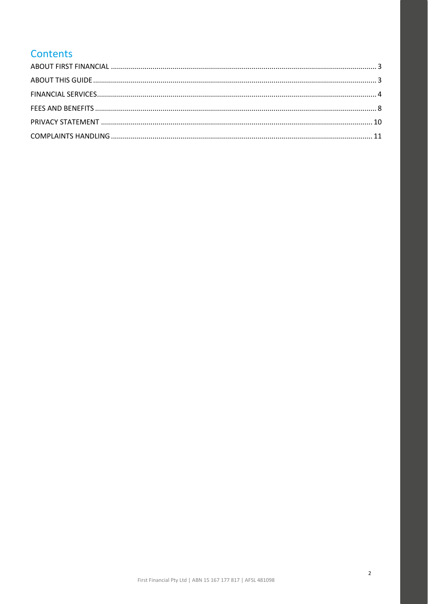# Contents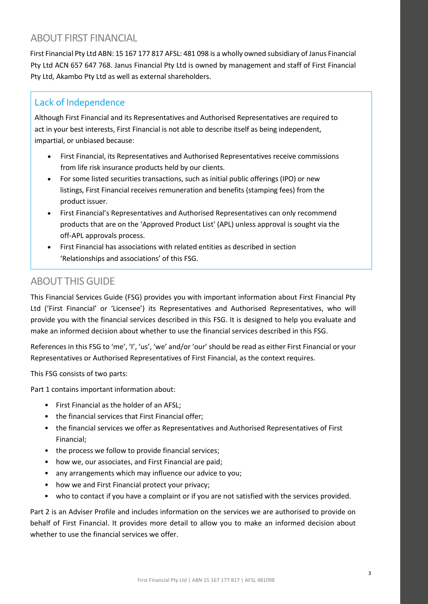### <span id="page-2-0"></span>ABOUT FIRST FINANCIAL

First Financial Pty Ltd ABN: 15 167 177 817 AFSL: 481 098 is a wholly owned subsidiary of Janus Financial Pty Ltd ACN 657 647 768. Janus Financial Pty Ltd is owned by management and staff of First Financial Pty Ltd, Akambo Pty Ltd as well as external shareholders.

### Lack of Independence

Although First Financial and its Representatives and Authorised Representatives are required to act in your best interests, First Financial is not able to describe itself as being independent, impartial, or unbiased because:

- First Financial, its Representatives and Authorised Representatives receive commissions from life risk insurance products held by our clients.
- For some listed securities transactions, such as initial public offerings (IPO) or new listings, First Financial receives remuneration and benefits (stamping fees) from the product issuer.
- First Financial's Representatives and Authorised Representatives can only recommend products that are on the 'Approved Product List' (APL) unless approval is sought via the off-APL approvals process.
- First Financial has associations with related entities as described in section 'Relationships and associations' of this FSG.

### <span id="page-2-1"></span>ABOUT THIS GUIDE

This Financial Services Guide (FSG) provides you with important information about First Financial Pty Ltd ('First Financial' or 'Licensee') its Representatives and Authorised Representatives, who will provide you with the financial services described in this FSG. It is designed to help you evaluate and make an informed decision about whether to use the financial services described in this FSG.

References in this FSG to 'me', 'I', 'us', 'we' and/or 'our' should be read as either First Financial or your Representatives or Authorised Representatives of First Financial, as the context requires.

This FSG consists of two parts:

Part 1 contains important information about:

- First Financial as the holder of an AFSL;
- the financial services that First Financial offer;
- the financial services we offer as Representatives and Authorised Representatives of First Financial;
- the process we follow to provide financial services;
- how we, our associates, and First Financial are paid;
- any arrangements which may influence our advice to you;
- how we and First Financial protect your privacy;
- who to contact if you have a complaint or if you are not satisfied with the services provided.

Part 2 is an Adviser Profile and includes information on the services we are authorised to provide on behalf of First Financial. It provides more detail to allow you to make an informed decision about whether to use the financial services we offer.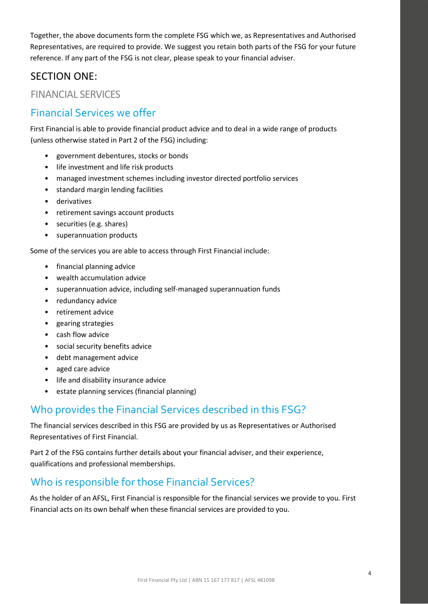Together, the above documents form the complete FSG which we, as Representatives and Authorised Representatives, are required to provide. We suggest you retain both parts of the FSG for your future reference. If any part of the FSG is not clear, please speak to your financial adviser.

### SECTION ONE:

<span id="page-3-0"></span>FINANCIAL SERVICES

### Financial Services we offer

First Financial is able to provide financial product advice and to deal in a wide range of products (unless otherwise stated in Part 2 of the FSG) including:

- government debentures, stocks or bonds
- life investment and life risk products
- managed investment schemes including investor directed portfolio services
- standard margin lending facilities
- derivatives
- retirement savings account products
- securities (e.g. shares)
- superannuation products

Some of the services you are able to access through First Financial include:

- financial planning advice
- wealth accumulation advice
- superannuation advice, including self-managed superannuation funds
- redundancy advice
- retirement advice
- gearing strategies
- cash flow advice
- social security benefits advice
- debt management advice
- aged care advice
- life and disability insurance advice
- estate planning services (financial planning)

# Who provides the Financial Services described in this FSG?

The financial services described in this FSG are provided by us as Representatives or Authorised Representatives of First Financial.

Part 2 of the FSG contains further details about your financial adviser, and their experience, qualifications and professional memberships.

# Who is responsible for those Financial Services?

As the holder of an AFSL, First Financial is responsible for the financial services we provide to you. First Financial acts on its own behalf when these financial services are provided to you.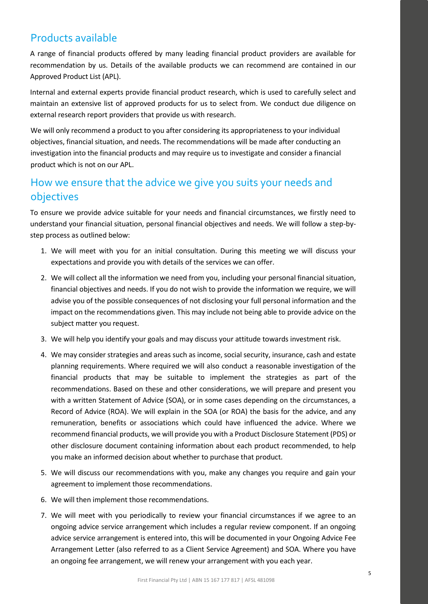# Products available

A range of financial products offered by many leading financial product providers are available for recommendation by us. Details of the available products we can recommend are contained in our Approved Product List (APL).

Internal and external experts provide financial product research, which is used to carefully select and maintain an extensive list of approved products for us to select from. We conduct due diligence on external research report providers that provide us with research.

We will only recommend a product to you after considering its appropriateness to your individual objectives, financial situation, and needs. The recommendations will be made after conducting an investigation into the financial products and may require us to investigate and consider a financial product which is not on our APL.

# How we ensure that the advice we give you suits your needs and objectives

To ensure we provide advice suitable for your needs and financial circumstances, we firstly need to understand your financial situation, personal financial objectives and needs. We will follow a step-bystep process as outlined below:

- 1. We will meet with you for an initial consultation. During this meeting we will discuss your expectations and provide you with details of the services we can offer.
- 2. We will collect all the information we need from you, including your personal financial situation, financial objectives and needs. If you do not wish to provide the information we require, we will advise you of the possible consequences of not disclosing your full personal information and the impact on the recommendations given. This may include not being able to provide advice on the subject matter you request.
- 3. We will help you identify your goals and may discuss your attitude towards investment risk.
- 4. We may consider strategies and areas such as income, social security, insurance, cash and estate planning requirements. Where required we will also conduct a reasonable investigation of the financial products that may be suitable to implement the strategies as part of the recommendations. Based on these and other considerations, we will prepare and present you with a written Statement of Advice (SOA), or in some cases depending on the circumstances, a Record of Advice (ROA). We will explain in the SOA (or ROA) the basis for the advice, and any remuneration, benefits or associations which could have influenced the advice. Where we recommend financial products, we will provide you with a Product Disclosure Statement (PDS) or other disclosure document containing information about each product recommended, to help you make an informed decision about whether to purchase that product.
- 5. We will discuss our recommendations with you, make any changes you require and gain your agreement to implement those recommendations.
- 6. We will then implement those recommendations.
- 7. We will meet with you periodically to review your financial circumstances if we agree to an ongoing advice service arrangement which includes a regular review component. If an ongoing advice service arrangement is entered into, this will be documented in your Ongoing Advice Fee Arrangement Letter (also referred to as a Client Service Agreement) and SOA. Where you have an ongoing fee arrangement, we will renew your arrangement with you each year.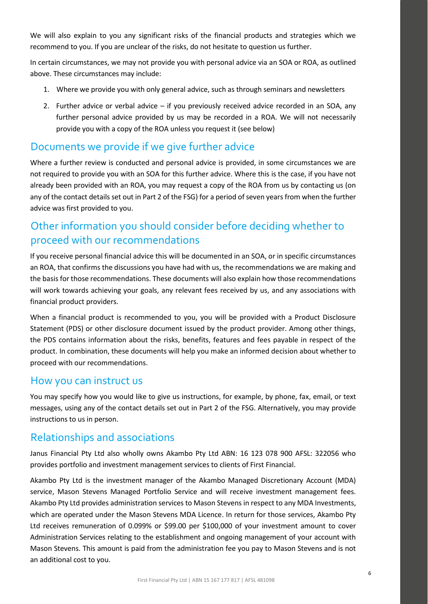We will also explain to you any significant risks of the financial products and strategies which we recommend to you. If you are unclear of the risks, do not hesitate to question us further.

In certain circumstances, we may not provide you with personal advice via an SOA or ROA, as outlined above. These circumstances may include:

- 1. Where we provide you with only general advice, such as through seminars and newsletters
- 2. Further advice or verbal advice if you previously received advice recorded in an SOA, any further personal advice provided by us may be recorded in a ROA. We will not necessarily provide you with a copy of the ROA unless you request it (see below)

### Documents we provide if we give further advice

Where a further review is conducted and personal advice is provided, in some circumstances we are not required to provide you with an SOA for this further advice. Where this is the case, if you have not already been provided with an ROA, you may request a copy of the ROA from us by contacting us (on any of the contact details set out in Part 2 of the FSG) for a period of seven years from when the further advice was first provided to you.

# Other information you should consider before deciding whether to proceed with our recommendations

If you receive personal financial advice this will be documented in an SOA, or in specific circumstances an ROA, that confirms the discussions you have had with us, the recommendations we are making and the basis for those recommendations. These documents will also explain how those recommendations will work towards achieving your goals, any relevant fees received by us, and any associations with financial product providers.

When a financial product is recommended to you, you will be provided with a Product Disclosure Statement (PDS) or other disclosure document issued by the product provider. Among other things, the PDS contains information about the risks, benefits, features and fees payable in respect of the product. In combination, these documents will help you make an informed decision about whether to proceed with our recommendations.

### How you can instruct us

You may specify how you would like to give us instructions, for example, by phone, fax, email, or text messages, using any of the contact details set out in Part 2 of the FSG. Alternatively, you may provide instructions to us in person.

### Relationships and associations

Janus Financial Pty Ltd also wholly owns Akambo Pty Ltd ABN: 16 123 078 900 AFSL: 322056 who provides portfolio and investment management services to clients of First Financial.

Akambo Pty Ltd is the investment manager of the Akambo Managed Discretionary Account (MDA) service, Mason Stevens Managed Portfolio Service and will receive investment management fees. Akambo Pty Ltd provides administration services to Mason Stevens in respect to any MDA Investments, which are operated under the Mason Stevens MDA Licence. In return for those services, Akambo Pty Ltd receives remuneration of 0.099% or \$99.00 per \$100,000 of your investment amount to cover Administration Services relating to the establishment and ongoing management of your account with Mason Stevens. This amount is paid from the administration fee you pay to Mason Stevens and is not an additional cost to you.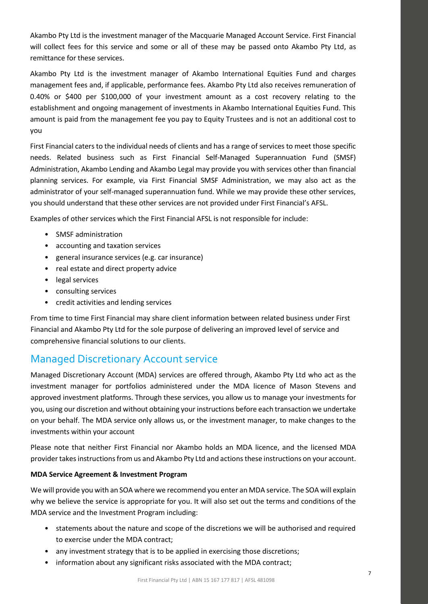Akambo Pty Ltd is the investment manager of the Macquarie Managed Account Service. First Financial will collect fees for this service and some or all of these may be passed onto Akambo Pty Ltd, as remittance for these services.

Akambo Pty Ltd is the investment manager of Akambo International Equities Fund and charges management fees and, if applicable, performance fees. Akambo Pty Ltd also receives remuneration of 0.40% or \$400 per \$100,000 of your investment amount as a cost recovery relating to the establishment and ongoing management of investments in Akambo International Equities Fund. This amount is paid from the management fee you pay to Equity Trustees and is not an additional cost to you

First Financial caters to the individual needs of clients and has a range of services to meet those specific needs. Related business such as First Financial Self-Managed Superannuation Fund (SMSF) Administration, Akambo Lending and Akambo Legal may provide you with services other than financial planning services. For example, via First Financial SMSF Administration, we may also act as the administrator of your self-managed superannuation fund. While we may provide these other services, you should understand that these other services are not provided under First Financial's AFSL.

Examples of other services which the First Financial AFSL is not responsible for include:

- SMSF administration
- accounting and taxation services
- general insurance services (e.g. car insurance)
- real estate and direct property advice
- legal services
- consulting services
- credit activities and lending services

From time to time First Financial may share client information between related business under First Financial and Akambo Pty Ltd for the sole purpose of delivering an improved level of service and comprehensive financial solutions to our clients.

### Managed Discretionary Account service

Managed Discretionary Account (MDA) services are offered through, Akambo Pty Ltd who act as the investment manager for portfolios administered under the MDA licence of Mason Stevens and approved investment platforms. Through these services, you allow us to manage your investments for you, using our discretion and without obtaining your instructions before each transaction we undertake on your behalf. The MDA service only allows us, or the investment manager, to make changes to the investments within your account

Please note that neither First Financial nor Akambo holds an MDA licence, and the licensed MDA provider takes instructions from us and Akambo Pty Ltd and actions these instructions on your account.

### **MDA Service Agreement & Investment Program**

We will provide you with an SOA where we recommend you enter an MDA service. The SOA will explain why we believe the service is appropriate for you. It will also set out the terms and conditions of the MDA service and the Investment Program including:

- statements about the nature and scope of the discretions we will be authorised and required to exercise under the MDA contract;
- any investment strategy that is to be applied in exercising those discretions;
- information about any significant risks associated with the MDA contract;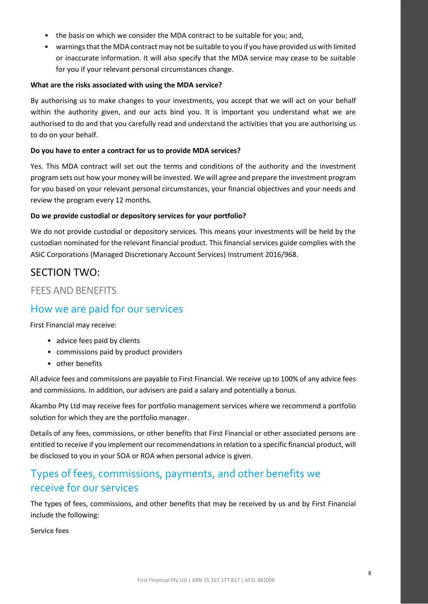- the basis on which we consider the MDA contract to be suitable for you; and,
- warnings that the MDA contract may not be suitable to you if you have provided us with limited or inaccurate information. It will also specify that the MDA service may cease to be suitable for you if your relevant personal circumstances change.

### **What are the risks associated with using the MDA service?**

By authorising us to make changes to your investments, you accept that we will act on your behalf within the authority given, and our acts bind you. It is important you understand what we are authorised to do and that you carefully read and understand the activities that you are authorising us to do on your behalf.

### **Do you have to enter a contract for us to provide MDA services?**

Yes. This MDA contract will set out the terms and conditions of the authority and the investment program sets out how your money will be invested. We will agree and prepare the investment program for you based on your relevant personal circumstances, your financial objectives and your needs and review the program every 12 months.

### **Do we provide custodial or depository services for your portfolio?**

We do not provide custodial or depository services. This means your investments will be held by the custodian nominated for the relevant financial product. This financial services guide complies with the ASIC Corporations (Managed Discretionary Account Services) Instrument 2016/968.

### SECTION TWO:

### <span id="page-7-0"></span>FEES AND BENEFITS

### How we are paid for our services

First Financial may receive:

- advice fees paid by clients
- commissions paid by product providers
- other benefits

All advice fees and commissions are payable to First Financial. We receive up to 100% of any advice fees and commissions. In addition, our advisers are paid a salary and potentially a bonus.

Akambo Pty Ltd may receive fees for portfolio management services where we recommend a portfolio solution for which they are the portfolio manager.

Details of any fees, commissions, or other benefits that First Financial or other associated persons are entitled to receive if you implement our recommendations in relation to a specific financial product, will be disclosed to you in your SOA or ROA when personal advice is given.

# Types of fees, commissions, payments, and other benefits we receive for our services

The types of fees, commissions, and other benefits that may be received by us and by First Financial include the following:

**Service fees**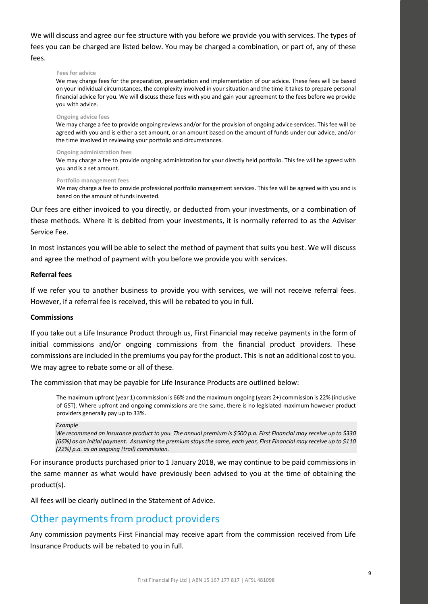We will discuss and agree our fee structure with you before we provide you with services. The types of fees you can be charged are listed below. You may be charged a combination, or part of, any of these fees.

#### **Fees for advice**

We may charge fees for the preparation, presentation and implementation of our advice. These fees will be based on your individual circumstances, the complexity involved in your situation and the time it takes to prepare personal financial advice for you. We will discuss these fees with you and gain your agreement to the fees before we provide you with advice.

#### **Ongoing advice fees**

We may charge a fee to provide ongoing reviews and/or for the provision of ongoing advice services. This fee will be agreed with you and is either a set amount, or an amount based on the amount of funds under our advice, and/or the time involved in reviewing your portfolio and circumstances.

#### **Ongoing administration fees**

We may charge a fee to provide ongoing administration for your directly held portfolio. This fee will be agreed with you and is a set amount.

#### **Portfolio management fees**

We may charge a fee to provide professional portfolio management services. This fee will be agreed with you and is based on the amount of funds invested.

Our fees are either invoiced to you directly, or deducted from your investments, or a combination of these methods. Where it is debited from your investments, it is normally referred to as the Adviser Service Fee.

In most instances you will be able to select the method of payment that suits you best. We will discuss and agree the method of payment with you before we provide you with services.

### **Referral fees**

If we refer you to another business to provide you with services, we will not receive referral fees. However, if a referral fee is received, this will be rebated to you in full.

### **Commissions**

If you take out a Life Insurance Product through us, First Financial may receive payments in the form of initial commissions and/or ongoing commissions from the financial product providers. These commissions are included in the premiums you pay for the product. This is not an additional cost to you. We may agree to rebate some or all of these.

The commission that may be payable for Life Insurance Products are outlined below:

The maximum upfront (year 1) commission is 66% and the maximum ongoing (years 2+) commission is 22% (inclusive of GST). Where upfront and ongoing commissions are the same, there is no legislated maximum however product providers generally pay up to 33%.

#### *Example*

*We recommend an insurance product to you. The annual premium is \$500 p.a. First Financial may receive up to \$330 (66%) as an initial payment. Assuming the premium stays the same, each year, First Financial may receive up to \$110 (22%) p.a. as an ongoing (trail) commission.*

For insurance products purchased prior to 1 January 2018, we may continue to be paid commissions in the same manner as what would have previously been advised to you at the time of obtaining the product(s).

All fees will be clearly outlined in the Statement of Advice.

### Other payments from product providers

Any commission payments First Financial may receive apart from the commission received from Life Insurance Products will be rebated to you in full.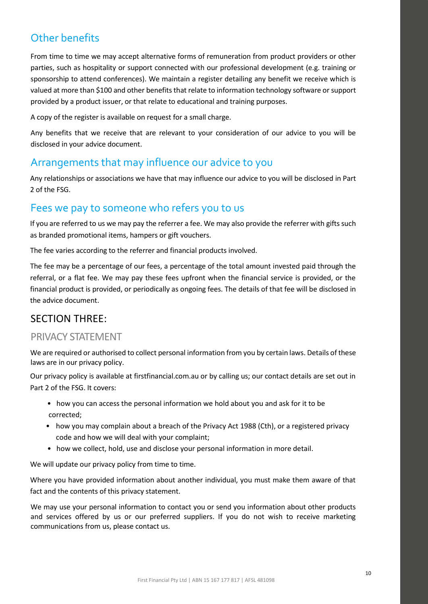# Other benefits

From time to time we may accept alternative forms of remuneration from product providers or other parties, such as hospitality or support connected with our professional development (e.g. training or sponsorship to attend conferences). We maintain a register detailing any benefit we receive which is valued at more than \$100 and other benefits that relate to information technology software or support provided by a product issuer, or that relate to educational and training purposes.

A copy of the register is available on request for a small charge.

Any benefits that we receive that are relevant to your consideration of our advice to you will be disclosed in your advice document.

### Arrangements that may influence our advice to you

Any relationships or associations we have that may influence our advice to you will be disclosed in Part 2 of the FSG.

### Fees we pay to someone who refers you to us

If you are referred to us we may pay the referrer a fee. We may also provide the referrer with gifts such as branded promotional items, hampers or gift vouchers.

The fee varies according to the referrer and financial products involved.

The fee may be a percentage of our fees, a percentage of the total amount invested paid through the referral, or a flat fee. We may pay these fees upfront when the financial service is provided, or the financial product is provided, or periodically as ongoing fees. The details of that fee will be disclosed in the advice document.

### SECTION THREE:

### <span id="page-9-0"></span>PRIVACY STATEMENT

We are required or authorised to collect personal information from you by certain laws. Details of these laws are in our privacy policy.

Our privacy policy is available at firstfinancial.com.au or by calling us; our contact details are set out in Part 2 of the FSG. It covers:

- how you can access the personal information we hold about you and ask for it to be corrected;
- how you may complain about a breach of the Privacy Act 1988 (Cth), or a registered privacy code and how we will deal with your complaint;
- how we collect, hold, use and disclose your personal information in more detail.

We will update our privacy policy from time to time.

Where you have provided information about another individual, you must make them aware of that fact and the contents of this privacy statement.

We may use your personal information to contact you or send you information about other products and services offered by us or our preferred suppliers. If you do not wish to receive marketing communications from us, please contact us.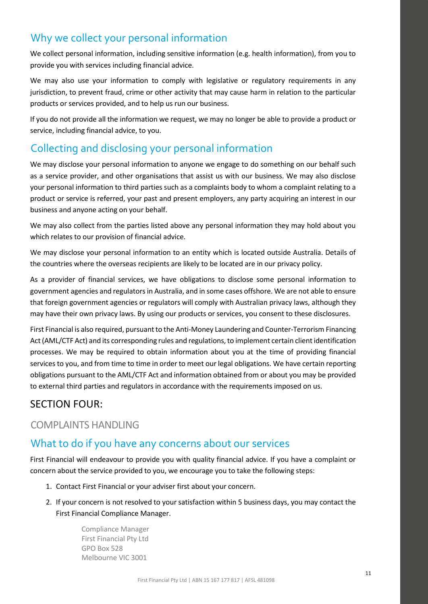# Why we collect your personal information

We collect personal information, including sensitive information (e.g. health information), from you to provide you with services including financial advice.

We may also use your information to comply with legislative or regulatory requirements in any jurisdiction, to prevent fraud, crime or other activity that may cause harm in relation to the particular products or services provided, and to help us run our business.

If you do not provide all the information we request, we may no longer be able to provide a product or service, including financial advice, to you.

# Collecting and disclosing your personal information

We may disclose your personal information to anyone we engage to do something on our behalf such as a service provider, and other organisations that assist us with our business. We may also disclose your personal information to third parties such as a complaints body to whom a complaint relating to a product or service is referred, your past and present employers, any party acquiring an interest in our business and anyone acting on your behalf.

We may also collect from the parties listed above any personal information they may hold about you which relates to our provision of financial advice.

We may disclose your personal information to an entity which is located outside Australia. Details of the countries where the overseas recipients are likely to be located are in our privacy policy.

As a provider of financial services, we have obligations to disclose some personal information to government agencies and regulators in Australia, and in some cases offshore. We are not able to ensure that foreign government agencies or regulators will comply with Australian privacy laws, although they may have their own privacy laws. By using our products or services, you consent to these disclosures.

First Financial is also required, pursuant to the Anti-Money Laundering and Counter-Terrorism Financing Act (AML/CTF Act) and its corresponding rules and regulations, to implement certain client identification processes. We may be required to obtain information about you at the time of providing financial services to you, and from time to time in order to meet our legal obligations. We have certain reporting obligations pursuant to the AML/CTF Act and information obtained from or about you may be provided to external third parties and regulators in accordance with the requirements imposed on us.

### SECTION FOUR:

### <span id="page-10-0"></span>COMPLAINTS HANDLING

### What to do if you have any concerns about our services

First Financial will endeavour to provide you with quality financial advice. If you have a complaint or concern about the service provided to you, we encourage you to take the following steps:

- 1. Contact First Financial or your adviser first about your concern.
- 2. If your concern is not resolved to your satisfaction within 5 business days, you may contact the First Financial Compliance Manager.

Compliance Manager First Financial Pty Ltd GPO Box 528 Melbourne VIC 3001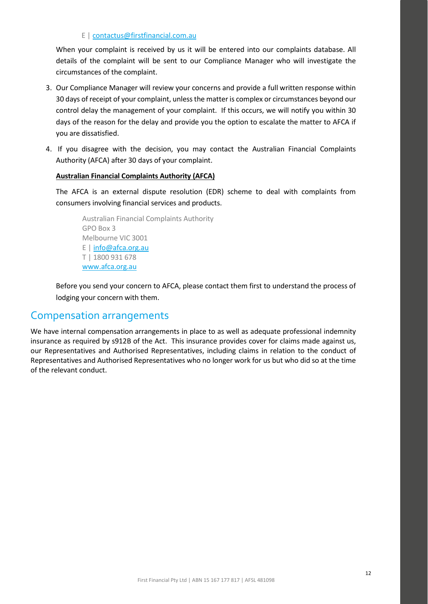### E [| contactus@firstfinancial.com.au](mailto:contactus@firstfinancial.com.au)

When your complaint is received by us it will be entered into our complaints database. All details of the complaint will be sent to our Compliance Manager who will investigate the circumstances of the complaint.

- 3. Our Compliance Manager will review your concerns and provide a full written response within 30 days of receipt of your complaint, unless the matter is complex or circumstances beyond our control delay the management of your complaint. If this occurs, we will notify you within 30 days of the reason for the delay and provide you the option to escalate the matter to AFCA if you are dissatisfied.
- 4. If you disagree with the decision, you may contact the Australian Financial Complaints Authority (AFCA) after 30 days of your complaint.

### **Australian Financial Complaints Authority (AFCA)**

The AFCA is an external dispute resolution (EDR) scheme to deal with complaints from consumers involving financial services and products.

Australian Financial Complaints Authority GPO Box 3 Melbourne VIC 3001 E | [info@afca.org.au](mailto:info@afca.org.au) T | 1800 931 678 [www.afca.org.au](http://www.afca.org.au/)

Before you send your concern to AFCA, please contact them first to understand the process of lodging your concern with them.

### Compensation arrangements

We have internal compensation arrangements in place to as well as adequate professional indemnity insurance as required by s912B of the Act. This insurance provides cover for claims made against us, our Representatives and Authorised Representatives, including claims in relation to the conduct of Representatives and Authorised Representatives who no longer work for us but who did so at the time of the relevant conduct.